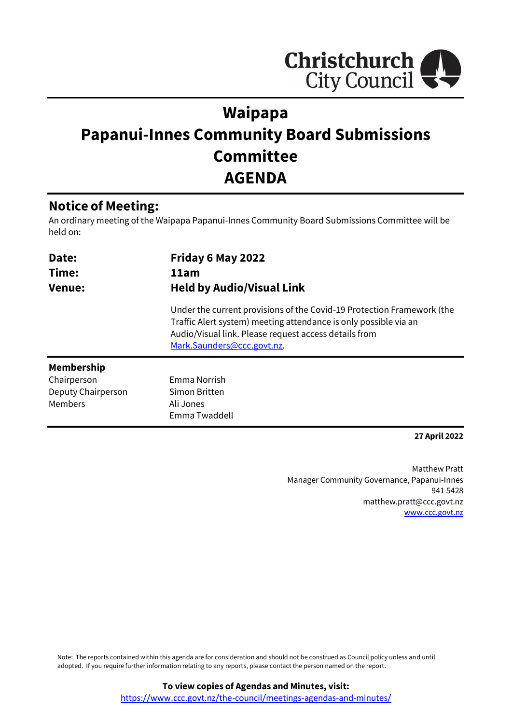

# **Waipapa Papanui-Innes Community Board Submissions Committee AGENDA**

## **Notice of Meeting:**

An ordinary meeting of the Waipapa Papanui-Innes Community Board Submissions Committee will be held on:

| Date:<br>Time:<br><b>Venue:</b> | Friday 6 May 2022<br>11am<br><b>Held by Audio/Visual Link</b>                                                                                                                                                                     |  |  |
|---------------------------------|-----------------------------------------------------------------------------------------------------------------------------------------------------------------------------------------------------------------------------------|--|--|
|                                 | Under the current provisions of the Covid-19 Protection Framework (the<br>Traffic Alert system) meeting attendance is only possible via an<br>Audio/Visual link. Please request access details from<br>Mark.Saunders@ccc.govt.nz. |  |  |
| <b>Membership</b>               |                                                                                                                                                                                                                                   |  |  |
| Chairperson                     | Emma Norrish                                                                                                                                                                                                                      |  |  |
| Deputy Chairperson              | Simon Britten                                                                                                                                                                                                                     |  |  |
| Members                         | Ali Jones                                                                                                                                                                                                                         |  |  |
|                                 | Emma Twaddell                                                                                                                                                                                                                     |  |  |

### **27 April 2022**

Matthew Pratt Manager Community Governance, Papanui-Innes 941 5428 matthew.pratt@ccc.govt.nz [www.ccc.govt.nz](http://www.ccc.govt.nz/)

Note: The reports contained within this agenda are for consideration and should not be construed as Council policy unless and until adopted. If you require further information relating to any reports, please contact the person named on the report.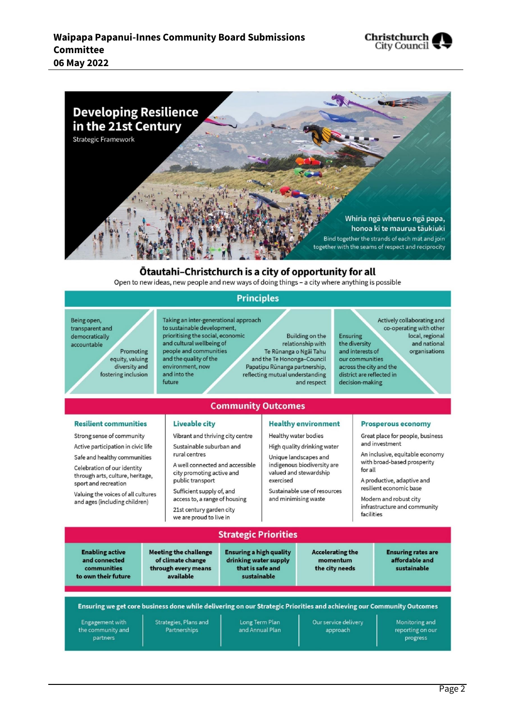



### Otautahi-Christchurch is a city of opportunity for all

Open to new ideas, new people and new ways of doing things - a city where anything is possible

### **Principles**

**Community Outcomes** 

Being open, transparent and democratically accountable Promoting equity, valuing diversity and fostering inclusion

Taking an inter-generational approach to sustainable development, prioritising the social, economic and cultural wellbeing of people and communities and the quality of the environment, now and into the future

Building on the relationship with Te Rūnanga o Ngai Tahu and the Te Hononga-Council Papatipu Rūnanga partnership, reflecting mutual understanding and respect

Ensuring the diversity and interests of our communities across the city and the district are reflected in

Actively collaborating and co-operating with other local, regional and national organisations

decision-making

### **Resilient communities**

Strong sense of community

Active participation in civic life

Safe and healthy communities

Celebration of our identity through arts, culture, heritage, sport and recreation

Valuing the voices of all cultures and ages (including children)

#### **Liveable city**

Vibrant and thriving city centre Sustainable suburban and rural centres

A well connected and accessible city promoting active and public transport

Sufficient supply of, and access to, a range of housing 21st century garden city we are proud to live in

#### **Healthy environment**

Healthy water bodies

High quality drinking water Unique landscapes and indigenous biodiversity are valued and stewardship exercised

Sustainable use of resources and minimising waste

#### **Prosperous economy**

Great place for people, business and investment

An inclusive, equitable economy with broad-based prosperity for all

A productive, adaptive and resilient economic base

Modern and robust city infrastructure and community facilities

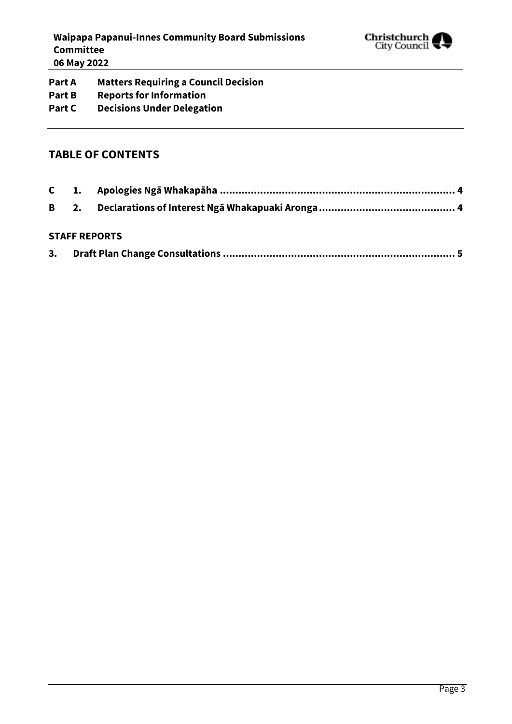

**Part A Matters Requiring a Council Decision Part B Reports for Information Part C Decisions Under Delegation**

### **TABLE OF CONTENTS**

### **STAFF REPORTS**

| 3. |  |
|----|--|
|    |  |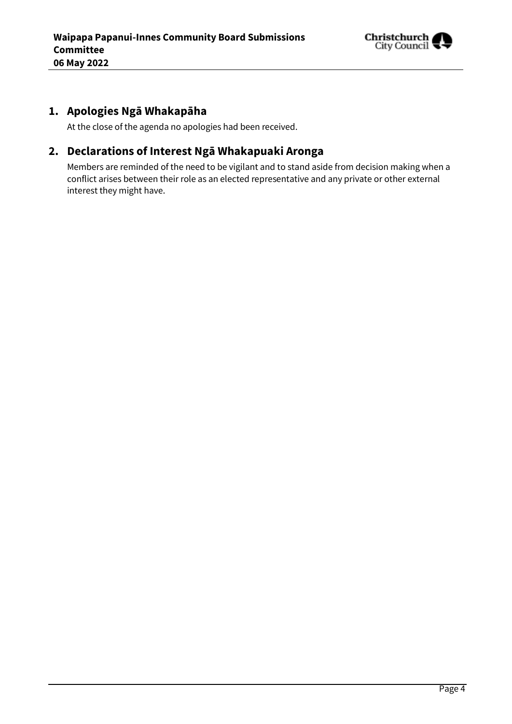

## <span id="page-3-0"></span>**1. Apologies Ngā Whakapāha**

At the close of the agenda no apologies had been received.

## <span id="page-3-1"></span>**2. Declarations of Interest Ngā Whakapuaki Aronga**

Members are reminded of the need to be vigilant and to stand aside from decision making when a conflict arises between their role as an elected representative and any private or other external interest they might have.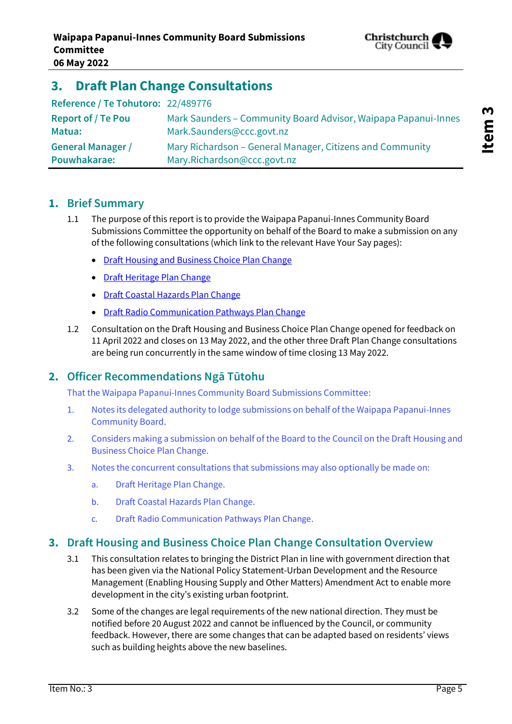

## <span id="page-4-0"></span>**3. Draft Plan Change Consultations**

| Reference / Te Tohutoro: 22/489776 |                                                                |
|------------------------------------|----------------------------------------------------------------|
| <b>Report of / Te Pou</b>          | Mark Saunders - Community Board Advisor, Waipapa Papanui-Innes |
| Matua:                             | Mark.Saunders@ccc.govt.nz                                      |
| <b>General Manager /</b>           | Mary Richardson – General Manager, Citizens and Community      |
| Pouwhakarae:                       | Mary.Richardson@ccc.govt.nz                                    |

### **1. Brief Summary**

- 1.1 The purpose of this report is to provide the Waipapa Papanui-Innes Community Board Submissions Committee the opportunity on behalf of the Board to make a submission on any of the following consultations (which link to the relevant Have Your Say pages):
	- [Draft Housing and Business Choice Plan Change](https://www.ccc.govt.nz/the-council/haveyoursay/show/505)
	- [Draft Heritage Plan Change](https://www.ccc.govt.nz/the-council/haveyoursay/show/506)
	- [Draft Coastal Hazards Plan Change](https://www.ccc.govt.nz/the-council/haveyoursay/show/504)
	- [Draft Radio Communication Pathways Plan Change](https://www.ccc.govt.nz/the-council/haveyoursay/show/507)
- 1.2 Consultation on the Draft Housing and Business Choice Plan Change opened for feedback on 11 April 2022 and closes on 13 May 2022, and the other three Draft Plan Change consultations are being run concurrently in the same window of time closing 13 May 2022.

### **2. Officer Recommendations Ngā Tūtohu**

That the Waipapa Papanui-Innes Community Board Submissions Committee:

- 1. Notes its delegated authority to lodge submissions on behalf of the Waipapa Papanui-Innes Community Board.
- 2. Considers making a submission on behalf of the Board to the Council on the Draft Housing and Business Choice Plan Change.
- 3. Notes the concurrent consultations that submissions may also optionally be made on:
	- a. Draft Heritage Plan Change.
	- b. Draft Coastal Hazards Plan Change.
	- c. Draft Radio Communication Pathways Plan Change.

### **3. Draft Housing and Business Choice Plan Change Consultation Overview**

- 3.1 This consultation relates to bringing the District Plan in line with government direction that has been given via the National Policy Statement-Urban Development and the Resource Management (Enabling Housing Supply and Other Matters) Amendment Act to enable more development in the city's existing urban footprint.
- 3.2 Some of the changes are legal requirements of the new national direction. They must be notified before 20 August 2022 and cannot be influenced by the Council, or community feedback. However, there are some changes that can be adapted based on residents' views such as building heights above the new baselines.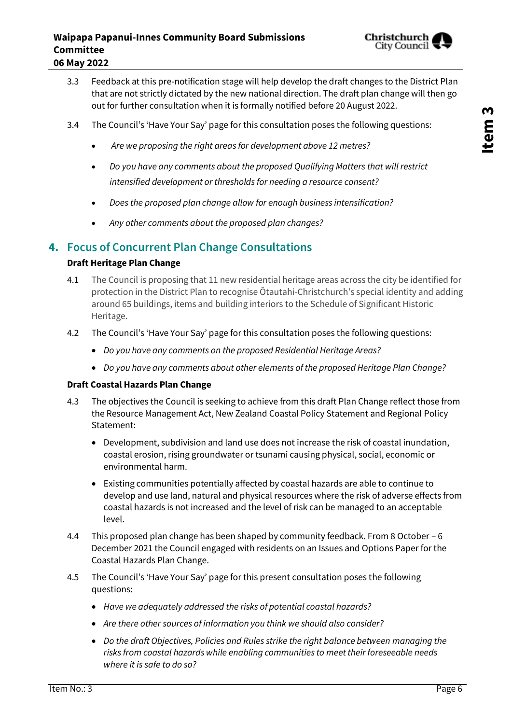- 3.3 Feedback at this pre-notification stage will help develop the draft changes to the District Plan that are not strictly dictated by the new national direction. The draft plan change will then go out for further consultation when it is formally notified before 20 August 2022.
- 3.4 The Council's 'Have Your Say' page for this consultation poses the following questions:
	- *Are we proposing the right areas for development above 12 metres?*
	- *Do you have any comments about the proposed Qualifying Matters that will restrict intensified development or thresholds for needing a resource consent?*
	- *Does the proposed plan change allow for enough business intensification?*
	- *Any other comments about the proposed plan changes?*

## **4. Focus of Concurrent Plan Change Consultations**

### **Draft Heritage Plan Change**

- 4.1 The Council is proposing that 11 new residential heritage areas across the city be identified for protection in the District Plan to recognise Ōtautahi-Christchurch's special identity and adding around 65 buildings, items and building interiors to the Schedule of Significant Historic Heritage.
- 4.2 The Council's 'Have Your Say' page for this consultation poses the following questions:
	- *Do you have any comments on the proposed Residential Heritage Areas?*
	- *Do you have any comments about other elements of the proposed Heritage Plan Change?*

### **Draft Coastal Hazards Plan Change**

- 4.3 The objectives the Council is seeking to achieve from this draft Plan Change reflect those from the Resource Management Act, New Zealand Coastal Policy Statement and Regional Policy Statement:
	- Development, subdivision and land use does not increase the risk of coastal inundation, coastal erosion, rising groundwater or tsunami causing physical, social, economic or environmental harm.
	- Existing communities potentially affected by coastal hazards are able to continue to develop and use land, natural and physical resources where the risk of adverse effects from coastal hazards is not increased and the level of risk can be managed to an acceptable level.
- 4.4 This proposed plan change has been shaped by community feedback. From 8 October 6 December 2021 the Council engaged with residents on an Issues and Options Paper for the Coastal Hazards Plan Change.
- 4.5 The Council's 'Have Your Say' page for this present consultation poses the following questions:
	- *Have we adequately addressed the risks of potential coastal hazards?*
	- *Are there other sources of information you think we should also consider?*
	- *Do the draft Objectives, Policies and Rules strike the right balance between managing the risks from coastal hazards while enabling communities to meet their foreseeable needs where it is safe to do so?*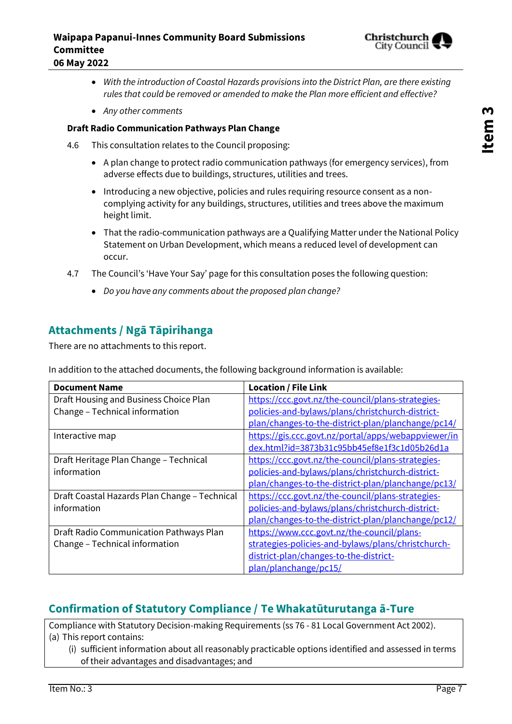

- *With the introduction of Coastal Hazards provisions into the District Plan, are there existing rules that could be removed or amended to make the Plan more efficient and effective?*
- *Any other comments*

### **Draft Radio Communication Pathways Plan Change**

- 4.6 This consultation relates to the Council proposing:
	- A plan change to protect radio communication pathways (for emergency services), from adverse effects due to buildings, structures, utilities and trees.
	- Introducing a new objective, policies and rules requiring resource consent as a noncomplying activity for any buildings, structures, utilities and trees above the maximum height limit.
	- That the radio-communication pathways are a Qualifying Matter under the National Policy Statement on Urban Development, which means a reduced level of development can occur.
- 4.7 The Council's 'Have Your Say' page for this consultation poses the following question:
	- *Do you have any comments about the proposed plan change?*

### **Attachments / Ngā Tāpirihanga**

There are no attachments to this report.

In addition to the attached documents, the following background information is available:

| <b>Document Name</b>                          | <b>Location / File Link</b>                         |
|-----------------------------------------------|-----------------------------------------------------|
| Draft Housing and Business Choice Plan        | https://ccc.govt.nz/the-council/plans-strategies-   |
| Change - Technical information                | policies-and-bylaws/plans/christchurch-district-    |
|                                               | plan/changes-to-the-district-plan/planchange/pc14/  |
| Interactive map                               | https://gis.ccc.govt.nz/portal/apps/webappviewer/in |
|                                               | dex.html?id=3873b31c95bb45ef8e1f3c1d05b26d1a        |
| Draft Heritage Plan Change - Technical        | https://ccc.govt.nz/the-council/plans-strategies-   |
| information                                   | policies-and-bylaws/plans/christchurch-district-    |
|                                               | plan/changes-to-the-district-plan/planchange/pc13/  |
| Draft Coastal Hazards Plan Change - Technical | https://ccc.govt.nz/the-council/plans-strategies-   |
| information                                   | policies-and-bylaws/plans/christchurch-district-    |
|                                               | plan/changes-to-the-district-plan/planchange/pc12/  |
| Draft Radio Communication Pathways Plan       | https://www.ccc.govt.nz/the-council/plans-          |
| Change - Technical information                | strategies-policies-and-bylaws/plans/christchurch-  |
|                                               | district-plan/changes-to-the-district-              |
|                                               | plan/planchange/pc15/                               |

## **Confirmation of Statutory Compliance / Te Whakatūturutanga ā-Ture**

Compliance with Statutory Decision-making Requirements (ss 76 - 81 Local Government Act 2002). (a) This report contains:

(i) sufficient information about all reasonably practicable options identified and assessed in terms of their advantages and disadvantages; and